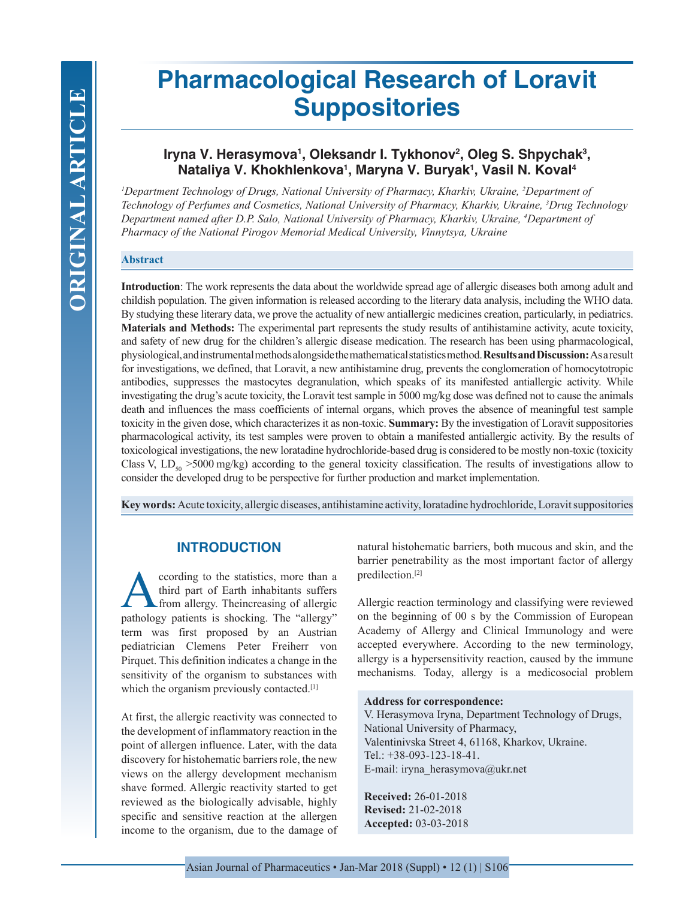# **Pharmacological Research of Loravit Suppositories**

# Iryna V. Herasymova<sup>ı</sup>, Oleksandr I. Tykhonov<sup>2</sup>, Oleg S. Shpychak<sup>3</sup>, **Nataliya V. Khokhlenkova1 , Maryna V. Buryak1 , Vasil N. Koval4**

*1 Department Technology of Drugs, National University of Pharmacy, Kharkiv, Ukraine, 2 Department of Technology of Perfumes and Cosmetics, National University of Pharmacy, Kharkiv, Ukraine, 3 Drug Technology Department named after D.P. Salo, National University of Pharmacy, Kharkiv, Ukraine, 4 Department of Pharmacy of the National Pirogov Memorial Medical University, Vinnytsya, Ukraine*

#### **Abstract**

**Introduction**: The work represents the data about the worldwide spread age of allergic diseases both among adult and childish population. The given information is released according to the literary data analysis, including the WHO data. By studying these literary data, we prove the actuality of new antiallergic medicines creation, particularly, in pediatrics. **Materials and Methods:** The experimental part represents the study results of antihistamine activity, acute toxicity, and safety of new drug for the children's allergic disease medication. The research has been using pharmacological, physiological, and instrumental methods alongside the mathematical statistics method. **Results and Discussion:** As a result for investigations, we defined, that Loravit, a new antihistamine drug, prevents the conglomeration of homocytotropic antibodies, suppresses the mastocytes degranulation, which speaks of its manifested antiallergic activity. While investigating the drug's acute toxicity, the Loravit test sample in 5000 mg/kg dose was defined not to cause the animals death and influences the mass coefficients of internal organs, which proves the absence of meaningful test sample toxicity in the given dose, which characterizes it as non-toxic. **Summary:** By the investigation of Loravit suppositories pharmacological activity, its test samples were proven to obtain a manifested antiallergic activity. By the results of toxicological investigations, the new loratadine hydrochloride-based drug is considered to be mostly non-toxic (toxicity Class V,  $LD_{50}$  >5000 mg/kg) according to the general toxicity classification. The results of investigations allow to consider the developed drug to be perspective for further production and market implementation.

**Key words:** Acute toxicity, allergic diseases, antihistamine activity, loratadine hydrochloride, Loravit suppositories

# **INTRODUCTION**

ccording to the statistics, more than a third part of Earth inhabitants suffers from allergy. Theincreasing of allergic pathology patients is shocking. The "allergy" term was first proposed by an Austrian pediatrician Clemens Peter Freiherr von Pirquet. This definition indicates a change in the sensitivity of the organism to substances with which the organism previously contacted.<sup>[1]</sup>

At first, the allergic reactivity was connected to the development of inflammatory reaction in the point of allergen influence. Later, with the data discovery for histohematic barriers role, the new views on the allergy development mechanism shave formed. Allergic reactivity started to get reviewed as the biologically advisable, highly specific and sensitive reaction at the allergen income to the organism, due to the damage of natural histohematic barriers, both mucous and skin, and the barrier penetrability as the most important factor of allergy predilection.[2]

Allergic reaction terminology and classifying were reviewed on the beginning of 00 s by the Commission of European Academy of Allergy and Clinical Immunology and were accepted everywhere. According to the new terminology, allergy is a hypersensitivity reaction, caused by the immune mechanisms. Today, allergy is a medicosocial problem

#### **Address for correspondence:**

V. Herasymova Iryna, Department Technology of Drugs, National University of Pharmacy, Valentinivska Street 4, 61168, Kharkov, Ukraine. Tel.: +38-093-123-18-41. E-mail: iryna\_herasymova@ukr.net

**Received:** 26-01-2018 **Revised:** 21-02-2018 **Accepted:** 03-03-2018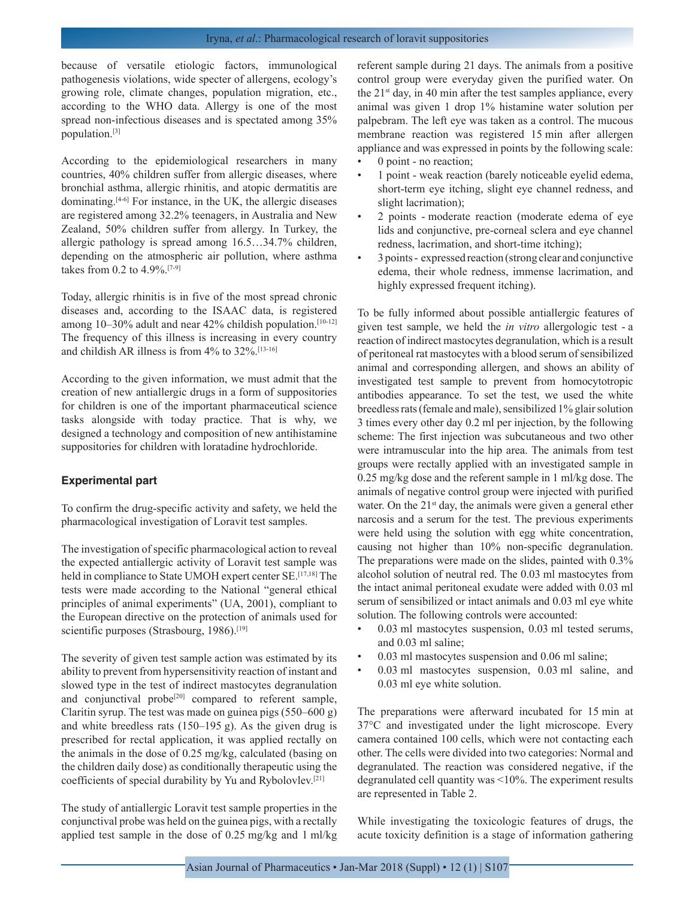## Iryna, *et al*.: Pharmacological research of loravit suppositories

because of versatile etiologic factors, immunological pathogenesis violations, wide specter of allergens, ecology's growing role, climate changes, population migration, etc., according to the WHO data. Allergy is one of the most spread non-infectious diseases and is spectated among 35% population.[3]

According to the epidemiological researchers in many countries, 40% children suffer from allergic diseases, where bronchial asthma, allergic rhinitis, and atopic dermatitis are dominating.[4-6] For instance, in the UK, the allergic diseases are registered among 32.2% teenagers, in Australia and New Zealand, 50% children suffer from allergy. In Turkey, the allergic pathology is spread among 16.5…34.7% children, depending on the atmospheric air pollution, where asthma takes from 0.2 to 4.9%.[7-9]

Today, allergic rhinitis is in five of the most spread chronic diseases and, according to the ISAAC data, is registered among 10–30% adult and near 42% childish population.<sup>[10-12]</sup> The frequency of this illness is increasing in every country and childish AR illness is from  $4\%$  to  $32\%$ .<sup>[13-16]</sup>

According to the given information, we must admit that the creation of new antiallergic drugs in a form of suppositories for children is one of the important pharmaceutical science tasks alongside with today practice. That is why, we designed a technology and composition of new antihistamine suppositories for children with loratadine hydrochloride.

## **Experimental part**

To confirm the drug-specific activity and safety, we held the pharmacological investigation of Loravit test samples.

The investigation of specific pharmacological action to reveal the expected antiallergic activity of Loravit test sample was held in compliance to State UMOH expert center SE.<sup>[17,18]</sup> The tests were made according to the National "general ethical principles of animal experiments" (UA, 2001), compliant to the European directive on the protection of animals used for scientific purposes (Strasbourg, 1986).<sup>[19]</sup>

The severity of given test sample action was estimated by its ability to prevent from hypersensitivity reaction of instant and slowed type in the test of indirect mastocytes degranulation and conjunctival probe<sup>[20]</sup> compared to referent sample, Claritin syrup. The test was made on guinea pigs (550–600 g) and white breedless rats (150–195 g). As the given drug is prescribed for rectal application, it was applied rectally on the animals in the dose of 0.25 mg/kg, calculated (basing on the children daily dose) as conditionally therapeutic using the coefficients of special durability by Yu and Rybolovlev.[21]

The study of antiallergic Loravit test sample properties in the conjunctival probe was held on the guinea pigs, with a rectally applied test sample in the dose of 0.25 mg/kg and 1 ml/kg referent sample during 21 days. The animals from a positive control group were everyday given the purified water. On the  $21<sup>st</sup>$  day, in 40 min after the test samples appliance, every animal was given 1 drop 1% histamine water solution per palpebram. The left eye was taken as a control. The mucous membrane reaction was registered 15 min after allergen appliance and was expressed in points by the following scale:

- 0 point no reaction;
- 1 point weak reaction (barely noticeable eyelid edema, short-term eye itching, slight eye channel redness, and slight lacrimation);
- 2 points moderate reaction (moderate edema of eye lids and conjunctive, pre-corneal sclera and eye channel redness, lacrimation, and short-time itching);
- 3 points expressed reaction (strong clear and conjunctive edema, their whole redness, immense lacrimation, and highly expressed frequent itching).

To be fully informed about possible antiallergic features of given test sample, we held the *in vitro* allergologic test - a reaction of indirect mastocytes degranulation, which is a result of peritoneal rat mastocytes with a blood serum of sensibilized animal and corresponding allergen, and shows an ability of investigated test sample to prevent from homocytotropic antibodies appearance. To set the test, we used the white breedless rats (female and male), sensibilized 1% glair solution 3 times every other day 0.2 ml per injection, by the following scheme: The first injection was subcutaneous and two other were intramuscular into the hip area. The animals from test groups were rectally applied with an investigated sample in 0.25 mg/kg dose and the referent sample in 1 ml/kg dose. The animals of negative control group were injected with purified water. On the 21<sup>st</sup> day, the animals were given a general ether narcosis and a serum for the test. The previous experiments were held using the solution with egg white concentration, causing not higher than 10% non-specific degranulation. The preparations were made on the slides, painted with 0.3% alcohol solution of neutral red. The 0.03 ml mastocytes from the intact animal peritoneal exudate were added with 0.03 ml serum of sensibilized or intact animals and 0.03 ml eye white solution. The following controls were accounted:

- 0.03 ml mastocytes suspension, 0.03 ml tested serums, and 0.03 ml saline;
- 0.03 ml mastocytes suspension and 0.06 ml saline;
- 0.03 ml mastocytes suspension, 0.03 ml saline, and 0.03 ml eye white solution.

The preparations were afterward incubated for 15 min at 37°C and investigated under the light microscope. Every camera contained 100 cells, which were not contacting each other. The cells were divided into two categories: Normal and degranulated. The reaction was considered negative, if the degranulated cell quantity was <10%. The experiment results are represented in Table 2.

While investigating the toxicologic features of drugs, the acute toxicity definition is a stage of information gathering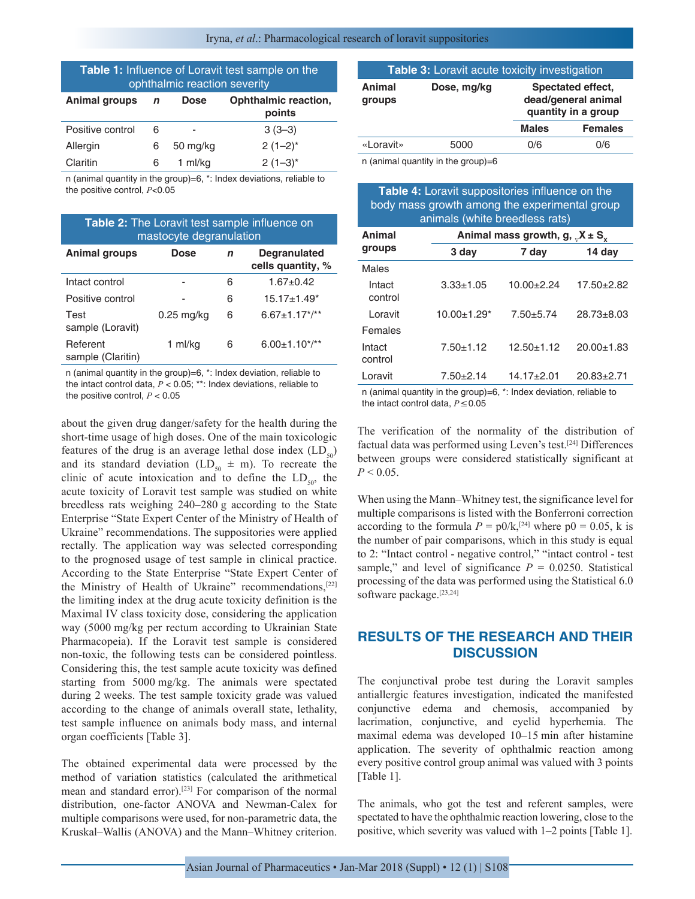Iryna, *et al*.: Pharmacological research of loravit suppositories

| <b>Table 1:</b> Influence of Loravit test sample on the<br>ophthalmic reaction severity |             |             |                                |  |  |  |
|-----------------------------------------------------------------------------------------|-------------|-------------|--------------------------------|--|--|--|
| <b>Animal groups</b>                                                                    | $\mathbf n$ | <b>Dose</b> | Ophthalmic reaction,<br>points |  |  |  |
| Positive control                                                                        | 6           |             | $3(3-3)$                       |  |  |  |
| Allergin                                                                                | 6           | 50 mg/kg    | $2(1-2)^{*}$                   |  |  |  |
| Claritin                                                                                | 6           | 1 ml/kg     | $2(1-3)^{*}$                   |  |  |  |

n (animal quantity in the group)=6, \*: Index deviations, reliable to the positive control, *Р*<0.05

| <b>Table 2:</b> The Loravit test sample influence on<br>mastocyte degranulation |              |   |                                          |  |  |  |
|---------------------------------------------------------------------------------|--------------|---|------------------------------------------|--|--|--|
| Animal groups                                                                   | <b>Dose</b>  | n | <b>Degranulated</b><br>cells quantity, % |  |  |  |
| Intact control                                                                  |              | 6 | $1.67 + 0.42$                            |  |  |  |
| Positive control                                                                |              | 6 | $15.17 \pm 1.49$ *                       |  |  |  |
| Test<br>sample (Loravit)                                                        | $0.25$ mg/kg | 6 | $6.67 \pm 1.17$ */**                     |  |  |  |
| Referent<br>sample (Claritin)                                                   | ml/kg        | 6 | $6.00 \pm 1.10^{*}$ /**                  |  |  |  |
|                                                                                 |              |   |                                          |  |  |  |

n (animal quantity in the group)=6, \*: Index deviation, reliable to the intact control data, *Р* < 0.05; \*\*: Index deviations, reliable to the positive control, *Р* < 0.05

about the given drug danger/safety for the health during the short-time usage of high doses. One of the main toxicologic features of the drug is an average lethal dose index  $(LD_{50})$ and its standard deviation (LD<sub>50</sub>  $\pm$  m). To recreate the clinic of acute intoxication and to define the  $LD_{so}$ , the acute toxicity of Loravit test sample was studied on white breedless rats weighing 240–280 g according to the State Enterprise "State Expert Center of the Ministry of Health of Ukraine" recommendations. The suppositories were applied rectally. The application way was selected corresponding to the prognosed usage of test sample in clinical practice. According to the State Enterprise "State Expert Center of the Ministry of Health of Ukraine" recommendations,<sup>[22]</sup> the limiting index at the drug acute toxicity definition is the Maximal IV class toxicity dose, considering the application way (5000 mg/kg per rectum according to Ukrainian State Pharmacopeia). If the Loravit test sample is considered non-toxic, the following tests can be considered pointless. Considering this, the test sample acute toxicity was defined starting from 5000 mg/kg. The animals were spectated during 2 weeks. The test sample toxicity grade was valued according to the change of animals overall state, lethality, test sample influence on animals body mass, and internal organ coefficients [Table 3].

The obtained experimental data were processed by the method of variation statistics (calculated the arithmetical mean and standard error).[23] For comparison of the normal distribution, one-factor ANOVA and Newman-Calex for multiple comparisons were used, for non-parametric data, the Kruskal–Wallis (ANOVA) and the Mann–Whitney criterion.

| Table 3: Loravit acute toxicity investigation |                                                                                                                                                                                                                                   |                                                                 |                |  |  |  |
|-----------------------------------------------|-----------------------------------------------------------------------------------------------------------------------------------------------------------------------------------------------------------------------------------|-----------------------------------------------------------------|----------------|--|--|--|
| Animal<br>groups                              | Dose, mg/kg                                                                                                                                                                                                                       | Spectated effect,<br>dead/general animal<br>quantity in a group |                |  |  |  |
|                                               |                                                                                                                                                                                                                                   | <b>Males</b>                                                    | <b>Females</b> |  |  |  |
| «Loravit»                                     | 5000                                                                                                                                                                                                                              | 0/6                                                             | 0/6            |  |  |  |
|                                               | $\sim$ $\ell$ , and a set of the set of the set of the set of the set of the set of the set of the set of the set of the set of the set of the set of the set of the set of the set of the set of the set of the set of the set o |                                                                 |                |  |  |  |

n (animal quantity in the group)=6

| <b>Table 4:</b> Loravit suppositories influence on the |
|--------------------------------------------------------|
| body mass growth among the experimental group          |
| animals (white breedless rats)                         |

| Animal            | Animal mass growth, g, $_{\rm v}X \pm S_{\rm x}$ |                                                                                                                                                                                                                                 |                  |  |  |  |
|-------------------|--------------------------------------------------|---------------------------------------------------------------------------------------------------------------------------------------------------------------------------------------------------------------------------------|------------------|--|--|--|
| groups            | 3 day                                            | 7 day                                                                                                                                                                                                                           | 14 day           |  |  |  |
| Males             |                                                  |                                                                                                                                                                                                                                 |                  |  |  |  |
| Intact<br>control | $3.33 \pm 1.05$                                  | $10.00+2.24$                                                                                                                                                                                                                    | $17.50 \pm 2.82$ |  |  |  |
| Loravit           | $10.00 \pm 1.29$ <sup>*</sup>                    | $7.50 + 5.74$                                                                                                                                                                                                                   | $28.73 \pm 8.03$ |  |  |  |
| Females           |                                                  |                                                                                                                                                                                                                                 |                  |  |  |  |
| Intact<br>control | $7.50 + 1.12$                                    | $12.50 \pm 1.12$                                                                                                                                                                                                                | $20.00 \pm 1.83$ |  |  |  |
| Loravit           | $7.50 + 2.14$                                    | $14.17 + 2.01$                                                                                                                                                                                                                  | $20.83 + 2.71$   |  |  |  |
|                   |                                                  | $\sim$ . The contract of the contract of the contract of the contract of the contract of the contract of the contract of the contract of the contract of the contract of the contract of the contract of the contract of the co |                  |  |  |  |

n (animal quantity in the group)=6, \*: Index deviation, reliable to the intact control data, *Р*≤0.05

The verification of the normality of the distribution of factual data was performed using Leven's test.[24] Differences between groups were considered statistically significant at  $P < 0.05$ .

When using the Mann–Whitney test, the significance level for multiple comparisons is listed with the Bonferroni correction according to the formula  $P = p0/k$ ,<sup>[24]</sup> where  $p0 = 0.05$ , k is the number of pair comparisons, which in this study is equal to 2: "Intact control - negative control," "intact control - test sample," and level of significance  $P = 0.0250$ . Statistical processing of the data was performed using the Statistical 6.0 software package.[23,24]

# **RESULTS OF THE RESEARCH AND THEIR DISCUSSION**

The conjunctival probe test during the Loravit samples antiallergic features investigation, indicated the manifested conjunctive edema and chemosis, accompanied by lacrimation, conjunctive, and eyelid hyperhemia. The maximal edema was developed 10–15 min after histamine application. The severity of ophthalmic reaction among every positive control group animal was valued with 3 points [Table 1].

The animals, who got the test and referent samples, were spectated to have the ophthalmic reaction lowering, close to the positive, which severity was valued with 1–2 points [Table 1].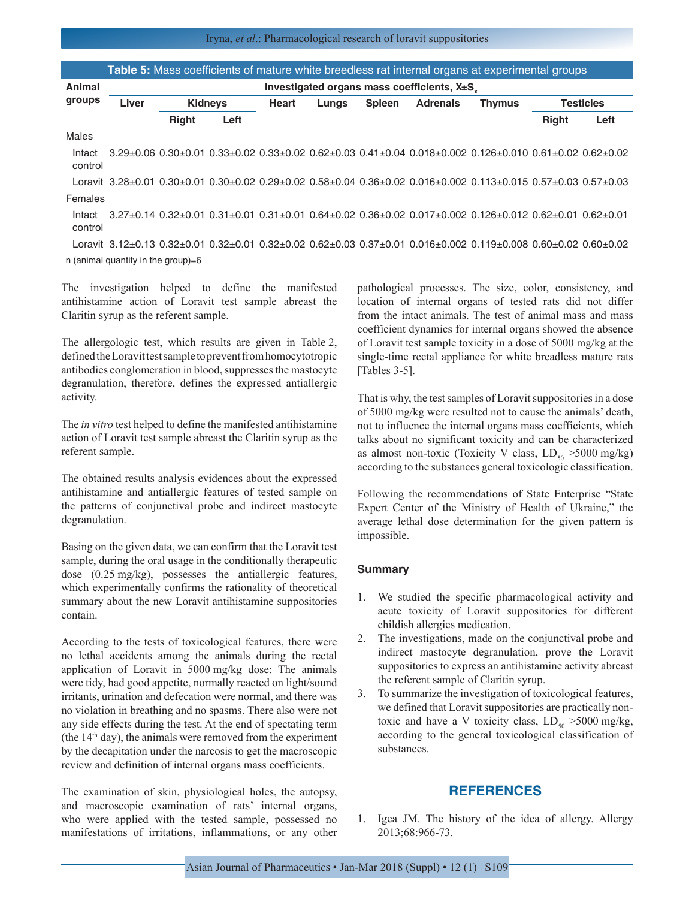|                                       | <b>Table 5:</b> Mass coefficients of mature white breedless rat internal organs at experimental groups |                                                |      |              |       |               |                                                                                                                                                         |               |                  |      |
|---------------------------------------|--------------------------------------------------------------------------------------------------------|------------------------------------------------|------|--------------|-------|---------------|---------------------------------------------------------------------------------------------------------------------------------------------------------|---------------|------------------|------|
| Animal                                |                                                                                                        | Investigated organs mass coefficients, $Xpm S$ |      |              |       |               |                                                                                                                                                         |               |                  |      |
| groups                                | Liver                                                                                                  | <b>Kidneys</b>                                 |      | <b>Heart</b> | Lungs | <b>Spleen</b> | <b>Adrenals</b>                                                                                                                                         | <b>Thymus</b> | <b>Testicles</b> |      |
|                                       |                                                                                                        | <b>Right</b>                                   | Left |              |       |               |                                                                                                                                                         |               | <b>Right</b>     | Left |
| Males                                 |                                                                                                        |                                                |      |              |       |               |                                                                                                                                                         |               |                  |      |
| Intact<br>control                     |                                                                                                        |                                                |      |              |       |               | $3.29\pm0.06$ $0.30\pm0.01$ $0.33\pm0.02$ $0.33\pm0.02$ $0.62\pm0.03$ $0.41\pm0.04$ $0.018\pm0.002$ $0.126\pm0.010$ $0.61\pm0.02$ $0.62\pm0.02$         |               |                  |      |
|                                       |                                                                                                        |                                                |      |              |       |               | Loravit 3.28±0.01 0.30±0.01 0.30±0.02 0.29±0.02 0.58±0.04 0.36±0.02 0.016±0.002 0.113±0.015 0.57±0.03 0.57±0.03                                         |               |                  |      |
| Females                               |                                                                                                        |                                                |      |              |       |               |                                                                                                                                                         |               |                  |      |
| Intact<br>control                     |                                                                                                        |                                                |      |              |       |               | $3.27\pm0.14$ $0.32\pm0.01$ $0.31\pm0.01$ $0.31\pm0.01$ $0.64\pm0.02$ $0.36\pm0.02$ $0.017\pm0.002$ $0.126\pm0.012$ $0.62\pm0.01$ $0.62\pm0.01$         |               |                  |      |
|                                       |                                                                                                        |                                                |      |              |       |               | Loravit $3.12\pm0.13$ $0.32\pm0.01$ $0.32\pm0.01$ $0.32\pm0.02$ $0.62\pm0.03$ $0.37\pm0.01$ $0.016\pm0.002$ $0.119\pm0.008$ $0.60\pm0.02$ $0.60\pm0.02$ |               |                  |      |
| n (animal quantity in the group)= $6$ |                                                                                                        |                                                |      |              |       |               |                                                                                                                                                         |               |                  |      |

The investigation helped to define the manifested antihistamine action of Loravit test sample abreast the Claritin syrup as the referent sample.

The allergologic test, which results are given in Table 2, defined the Loravit test sample to prevent from homocytotropic antibodies conglomeration in blood, suppresses the mastocyte degranulation, therefore, defines the expressed antiallergic activity.

The *in vitro* test helped to define the manifested antihistamine action of Loravit test sample abreast the Claritin syrup as the referent sample.

The obtained results analysis evidences about the expressed antihistamine and antiallergic features of tested sample on the patterns of conjunctival probe and indirect mastocyte degranulation.

Basing on the given data, we can confirm that the Loravit test sample, during the oral usage in the conditionally therapeutic dose (0.25 mg/kg), possesses the antiallergic features, which experimentally confirms the rationality of theoretical summary about the new Loravit antihistamine suppositories contain.

According to the tests of toxicological features, there were no lethal accidents among the animals during the rectal application of Loravit in 5000 mg/kg dose: The animals were tidy, had good appetite, normally reacted on light/sound irritants, urination and defecation were normal, and there was no violation in breathing and no spasms. There also were not any side effects during the test. At the end of spectating term (the  $14<sup>th</sup>$  day), the animals were removed from the experiment by the decapitation under the narcosis to get the macroscopic review and definition of internal organs mass coefficients.

The examination of skin, physiological holes, the autopsy, and macroscopic examination of rats' internal organs, who were applied with the tested sample, possessed no manifestations of irritations, inflammations, or any other pathological processes. The size, color, consistency, and location of internal organs of tested rats did not differ from the intact animals. The test of animal mass and mass coefficient dynamics for internal organs showed the absence of Loravit test sample toxicity in a dose of 5000 mg/kg at the single-time rectal appliance for white breadless mature rats [Tables 3-5].

That is why, the test samples of Loravit suppositories in a dose of 5000 mg/kg were resulted not to cause the animals' death, not to influence the internal organs mass coefficients, which talks about no significant toxicity and can be characterized as almost non-toxic (Toxicity V class,  $LD_{50} > 5000$  mg/kg) according to the substances general toxicologic classification.

Following the recommendations of State Enterprise "State Expert Center of the Ministry of Health of Ukraine," the average lethal dose determination for the given pattern is impossible.

#### **Summary**

- 1. We studied the specific pharmacological activity and acute toxicity of Loravit suppositories for different childish allergies medication.
- 2. The investigations, made on the conjunctival probe and indirect mastocyte degranulation, prove the Loravit suppositories to express an antihistamine activity abreast the referent sample of Claritin syrup.
- 3. To summarize the investigation of toxicological features, we defined that Loravit suppositories are practically nontoxic and have a V toxicity class,  $LD_{50} > 5000$  mg/kg, according to the general toxicological classification of substances.

## **REFERENCES**

1. Igea JM. The history of the idea of allergy. Allergy 2013;68:966-73.